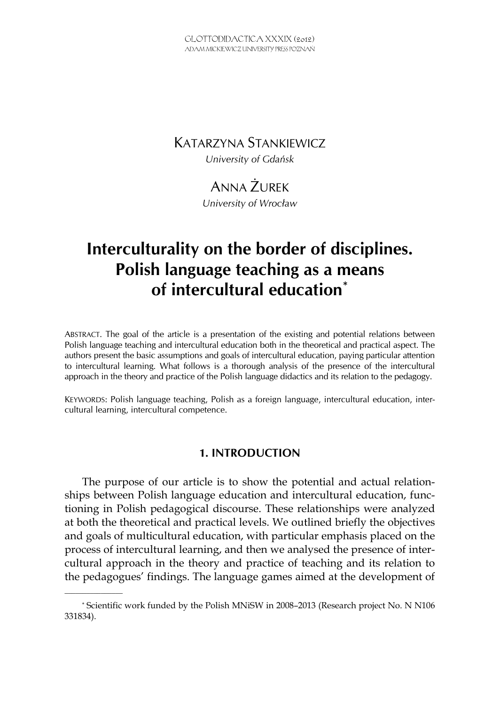## KATARZYNA STANKIEWICZ

*University of Gdańsk* 

# ANNA ŻUREK

*University of Wrocław*

# **Interculturality on the border of disciplines. Polish language teaching as a means of intercultural education\***

ABSTRACT. The goal of the article is a presentation of the existing and potential relations between Polish language teaching and intercultural education both in the theoretical and practical aspect. The authors present the basic assumptions and goals of intercultural education, paying particular attention to intercultural learning. What follows is a thorough analysis of the presence of the intercultural approach in the theory and practice of the Polish language didactics and its relation to the pedagogy.

KEYWORDS: Polish language teaching, Polish as a foreign language, intercultural education, intercultural learning, intercultural competence.

## **1. INTRODUCTION**

The purpose of our article is to show the potential and actual relationships between Polish language education and intercultural education, functioning in Polish pedagogical discourse. These relationships were analyzed at both the theoretical and practical levels. We outlined briefly the objectives and goals of multicultural education, with particular emphasis placed on the process of intercultural learning, and then we analysed the presence of intercultural approach in the theory and practice of teaching and its relation to the pedagogues' findings. The language games aimed at the development of

 $\overline{\phantom{a}}$ 

<sup>\*</sup> Scientific work funded by the Polish MNiSW in 2008–2013 (Research project No. N N106 331834).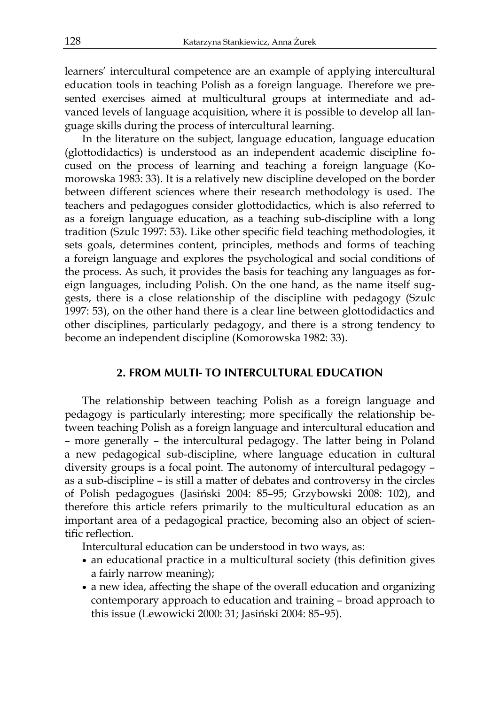learners' intercultural competence are an example of applying intercultural education tools in teaching Polish as a foreign language. Therefore we presented exercises aimed at multicultural groups at intermediate and advanced levels of language acquisition, where it is possible to develop all language skills during the process of intercultural learning.

In the literature on the subject, language education, language education (glottodidactics) is understood as an independent academic discipline focused on the process of learning and teaching a foreign language (Komorowska 1983: 33). It is a relatively new discipline developed on the border between different sciences where their research methodology is used. The teachers and pedagogues consider glottodidactics, which is also referred to as a foreign language education, as a teaching sub-discipline with a long tradition (Szulc 1997: 53). Like other specific field teaching methodologies, it sets goals, determines content, principles, methods and forms of teaching a foreign language and explores the psychological and social conditions of the process. As such, it provides the basis for teaching any languages as foreign languages, including Polish. On the one hand, as the name itself suggests, there is a close relationship of the discipline with pedagogy (Szulc 1997: 53), on the other hand there is a clear line between glottodidactics and other disciplines, particularly pedagogy, and there is a strong tendency to become an independent discipline (Komorowska 1982: 33).

### **2. FROM MULTI- TO INTERCULTURAL EDUCATION**

The relationship between teaching Polish as a foreign language and pedagogy is particularly interesting; more specifically the relationship between teaching Polish as a foreign language and intercultural education and – more generally – the intercultural pedagogy. The latter being in Poland a new pedagogical sub-discipline, where language education in cultural diversity groups is a focal point. The autonomy of intercultural pedagogy – as a sub-discipline – is still a matter of debates and controversy in the circles of Polish pedagogues (Jasiński 2004: 85–95; Grzybowski 2008: 102), and therefore this article refers primarily to the multicultural education as an important area of a pedagogical practice, becoming also an object of scientific reflection.

Intercultural education can be understood in two ways, as:

- an educational practice in a multicultural society (this definition gives a fairly narrow meaning);
- a new idea, affecting the shape of the overall education and organizing contemporary approach to education and training – broad approach to this issue (Lewowicki 2000: 31; Jasiński 2004: 85–95).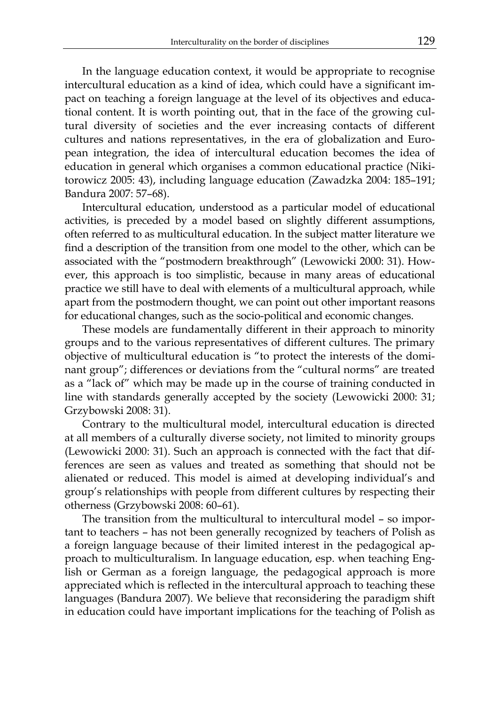In the language education context, it would be appropriate to recognise intercultural education as a kind of idea, which could have a significant impact on teaching a foreign language at the level of its objectives and educational content. It is worth pointing out, that in the face of the growing cultural diversity of societies and the ever increasing contacts of different cultures and nations representatives, in the era of globalization and European integration, the idea of intercultural education becomes the idea of education in general which organises a common educational practice (Nikitorowicz 2005: 43), including language education (Zawadzka 2004: 185–191; Bandura 2007: 57–68).

Intercultural education, understood as a particular model of educational activities, is preceded by a model based on slightly different assumptions, often referred to as multicultural education. In the subject matter literature we find a description of the transition from one model to the other, which can be associated with the "postmodern breakthrough" (Lewowicki 2000: 31). However, this approach is too simplistic, because in many areas of educational practice we still have to deal with elements of a multicultural approach, while apart from the postmodern thought, we can point out other important reasons for educational changes, such as the socio-political and economic changes.

These models are fundamentally different in their approach to minority groups and to the various representatives of different cultures. The primary objective of multicultural education is "to protect the interests of the dominant group"; differences or deviations from the "cultural norms" are treated as a "lack of" which may be made up in the course of training conducted in line with standards generally accepted by the society (Lewowicki 2000: 31; Grzybowski 2008: 31).

Contrary to the multicultural model, intercultural education is directed at all members of a culturally diverse society, not limited to minority groups (Lewowicki 2000: 31). Such an approach is connected with the fact that differences are seen as values and treated as something that should not be alienated or reduced. This model is aimed at developing individual's and group's relationships with people from different cultures by respecting their otherness (Grzybowski 2008: 60–61).

The transition from the multicultural to intercultural model – so important to teachers – has not been generally recognized by teachers of Polish as a foreign language because of their limited interest in the pedagogical approach to multiculturalism. In language education, esp. when teaching English or German as a foreign language, the pedagogical approach is more appreciated which is reflected in the intercultural approach to teaching these languages (Bandura 2007). We believe that reconsidering the paradigm shift in education could have important implications for the teaching of Polish as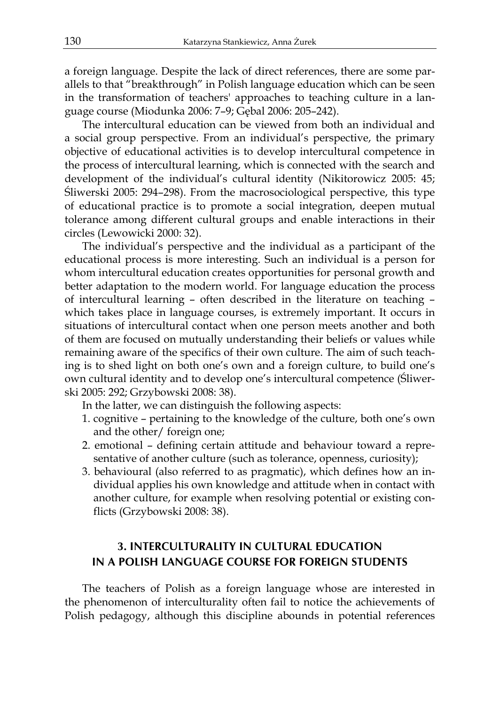a foreign language. Despite the lack of direct references, there are some parallels to that "breakthrough" in Polish language education which can be seen in the transformation of teachers' approaches to teaching culture in a language course (Miodunka 2006: 7–9; Gębal 2006: 205–242).

The intercultural education can be viewed from both an individual and a social group perspective. From an individual's perspective, the primary objective of educational activities is to develop intercultural competence in the process of intercultural learning, which is connected with the search and development of the individual's cultural identity (Nikitorowicz 2005: 45; Śliwerski 2005: 294–298). From the macrosociological perspective, this type of educational practice is to promote a social integration, deepen mutual tolerance among different cultural groups and enable interactions in their circles (Lewowicki 2000: 32).

The individual's perspective and the individual as a participant of the educational process is more interesting. Such an individual is a person for whom intercultural education creates opportunities for personal growth and better adaptation to the modern world. For language education the process of intercultural learning – often described in the literature on teaching – which takes place in language courses, is extremely important. It occurs in situations of intercultural contact when one person meets another and both of them are focused on mutually understanding their beliefs or values while remaining aware of the specifics of their own culture. The aim of such teaching is to shed light on both one's own and a foreign culture, to build one's own cultural identity and to develop one's intercultural competence (Śliwerski 2005: 292; Grzybowski 2008: 38).

In the latter, we can distinguish the following aspects:

- 1. cognitive pertaining to the knowledge of the culture, both one's own and the other/ foreign one;
- 2. emotional defining certain attitude and behaviour toward a representative of another culture (such as tolerance, openness, curiosity);
- 3. behavioural (also referred to as pragmatic), which defines how an individual applies his own knowledge and attitude when in contact with another culture, for example when resolving potential or existing conflicts (Grzybowski 2008: 38).

## **3. INTERCULTURALITY IN CULTURAL EDUCATION IN A POLISH LANGUAGE COURSE FOR FOREIGN STUDENTS**

The teachers of Polish as a foreign language whose are interested in the phenomenon of interculturality often fail to notice the achievements of Polish pedagogy, although this discipline abounds in potential references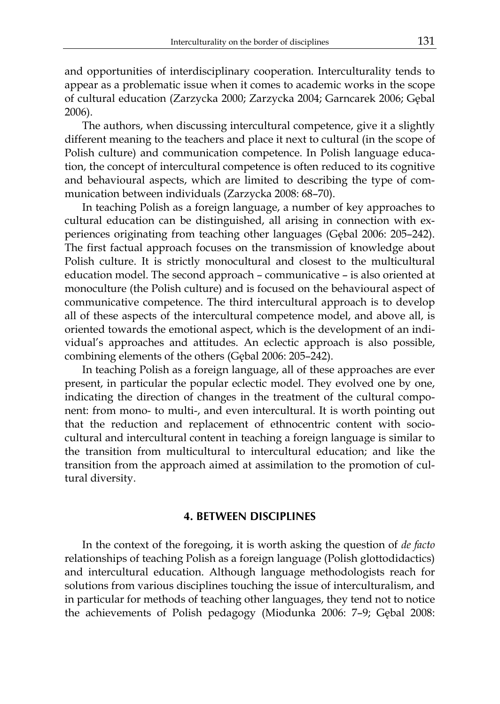and opportunities of interdisciplinary cooperation. Interculturality tends to appear as a problematic issue when it comes to academic works in the scope of cultural education (Zarzycka 2000; Zarzycka 2004; Garncarek 2006; Gębal 2006).

The authors, when discussing intercultural competence, give it a slightly different meaning to the teachers and place it next to cultural (in the scope of Polish culture) and communication competence. In Polish language education, the concept of intercultural competence is often reduced to its cognitive and behavioural aspects, which are limited to describing the type of communication between individuals (Zarzycka 2008: 68–70).

In teaching Polish as a foreign language, a number of key approaches to cultural education can be distinguished, all arising in connection with experiences originating from teaching other languages (Gębal 2006: 205–242). The first factual approach focuses on the transmission of knowledge about Polish culture. It is strictly monocultural and closest to the multicultural education model. The second approach – communicative – is also oriented at monoculture (the Polish culture) and is focused on the behavioural aspect of communicative competence. The third intercultural approach is to develop all of these aspects of the intercultural competence model, and above all, is oriented towards the emotional aspect, which is the development of an individual's approaches and attitudes. An eclectic approach is also possible, combining elements of the others (Gębal 2006: 205–242).

In teaching Polish as a foreign language, all of these approaches are ever present, in particular the popular eclectic model. They evolved one by one, indicating the direction of changes in the treatment of the cultural component: from mono- to multi-, and even intercultural. It is worth pointing out that the reduction and replacement of ethnocentric content with sociocultural and intercultural content in teaching a foreign language is similar to the transition from multicultural to intercultural education; and like the transition from the approach aimed at assimilation to the promotion of cultural diversity.

#### **4. BETWEEN DISCIPLINES**

In the context of the foregoing, it is worth asking the question of *de facto* relationships of teaching Polish as a foreign language (Polish glottodidactics) and intercultural education. Although language methodologists reach for solutions from various disciplines touching the issue of interculturalism, and in particular for methods of teaching other languages, they tend not to notice the achievements of Polish pedagogy (Miodunka 2006: 7–9; Gębal 2008: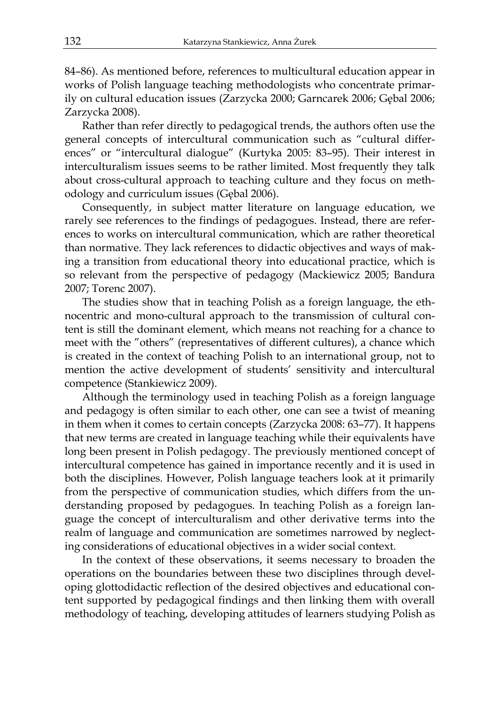84–86). As mentioned before, references to multicultural education appear in works of Polish language teaching methodologists who concentrate primarily on cultural education issues (Zarzycka 2000; Garncarek 2006; Gębal 2006; Zarzycka 2008).

Rather than refer directly to pedagogical trends, the authors often use the general concepts of intercultural communication such as "cultural differences" or "intercultural dialogue" (Kurtyka 2005: 83–95). Their interest in interculturalism issues seems to be rather limited. Most frequently they talk about cross-cultural approach to teaching culture and they focus on methodology and curriculum issues (Gębal 2006).

Consequently, in subject matter literature on language education, we rarely see references to the findings of pedagogues. Instead, there are references to works on intercultural communication, which are rather theoretical than normative. They lack references to didactic objectives and ways of making a transition from educational theory into educational practice, which is so relevant from the perspective of pedagogy (Mackiewicz 2005; Bandura 2007; Torenc 2007).

The studies show that in teaching Polish as a foreign language, the ethnocentric and mono-cultural approach to the transmission of cultural content is still the dominant element, which means not reaching for a chance to meet with the "others" (representatives of different cultures), a chance which is created in the context of teaching Polish to an international group, not to mention the active development of students' sensitivity and intercultural competence (Stankiewicz 2009).

Although the terminology used in teaching Polish as a foreign language and pedagogy is often similar to each other, one can see a twist of meaning in them when it comes to certain concepts (Zarzycka 2008: 63–77). It happens that new terms are created in language teaching while their equivalents have long been present in Polish pedagogy. The previously mentioned concept of intercultural competence has gained in importance recently and it is used in both the disciplines. However, Polish language teachers look at it primarily from the perspective of communication studies, which differs from the understanding proposed by pedagogues. In teaching Polish as a foreign language the concept of interculturalism and other derivative terms into the realm of language and communication are sometimes narrowed by neglecting considerations of educational objectives in a wider social context.

In the context of these observations, it seems necessary to broaden the operations on the boundaries between these two disciplines through developing glottodidactic reflection of the desired objectives and educational content supported by pedagogical findings and then linking them with overall methodology of teaching, developing attitudes of learners studying Polish as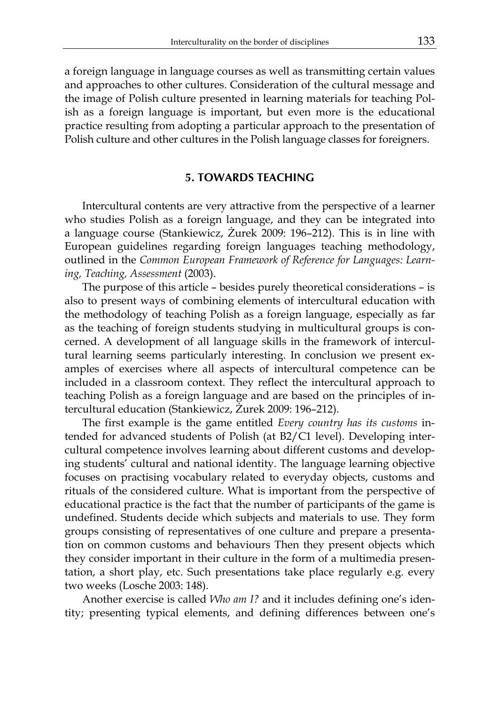a foreign language in language courses as well as transmitting certain values and approaches to other cultures. Consideration of the cultural message and the image of Polish culture presented in learning materials for teaching Polish as a foreign language is important, but even more is the educational practice resulting from adopting a particular approach to the presentation of Polish culture and other cultures in the Polish language classes for foreigners.

### **5. TOWARDS TEACHING**

Intercultural contents are very attractive from the perspective of a learner who studies Polish as a foreign language, and they can be integrated into a language course (Stankiewicz, Żurek 2009: 196–212). This is in line with European guidelines regarding foreign languages teaching methodology, outlined in the *Common European Framework of Reference for Languages: Learning, Teaching, Assessment* (2003).

The purpose of this article – besides purely theoretical considerations – is also to present ways of combining elements of intercultural education with the methodology of teaching Polish as a foreign language, especially as far as the teaching of foreign students studying in multicultural groups is concerned. A development of all language skills in the framework of intercultural learning seems particularly interesting. In conclusion we present examples of exercises where all aspects of intercultural competence can be included in a classroom context. They reflect the intercultural approach to teaching Polish as a foreign language and are based on the principles of intercultural education (Stankiewicz, Żurek 2009: 196–212).

The first example is the game entitled *Every country has its customs* intended for advanced students of Polish (at B2/C1 level). Developing intercultural competence involves learning about different customs and developing students' cultural and national identity. The language learning objective focuses on practising vocabulary related to everyday objects, customs and rituals of the considered culture. What is important from the perspective of educational practice is the fact that the number of participants of the game is undefined. Students decide which subjects and materials to use. They form groups consisting of representatives of one culture and prepare a presentation on common customs and behaviours Then they present objects which they consider important in their culture in the form of a multimedia presentation, a short play, etc. Such presentations take place regularly e.g. every two weeks (Losche 2003: 148).

Another exercise is called *Who am I?* and it includes defining one's identity; presenting typical elements, and defining differences between one's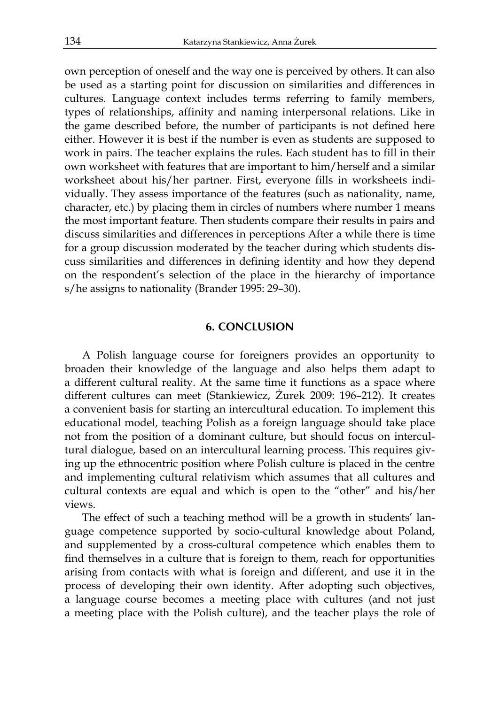own perception of oneself and the way one is perceived by others. It can also be used as a starting point for discussion on similarities and differences in cultures. Language context includes terms referring to family members, types of relationships, affinity and naming interpersonal relations. Like in the game described before, the number of participants is not defined here either. However it is best if the number is even as students are supposed to work in pairs. The teacher explains the rules. Each student has to fill in their own worksheet with features that are important to him/herself and a similar worksheet about his/her partner. First, everyone fills in worksheets individually. They assess importance of the features (such as nationality, name, character, etc.) by placing them in circles of numbers where number 1 means the most important feature. Then students compare their results in pairs and discuss similarities and differences in perceptions After a while there is time for a group discussion moderated by the teacher during which students discuss similarities and differences in defining identity and how they depend on the respondent's selection of the place in the hierarchy of importance s/he assigns to nationality (Brander 1995: 29–30).

## **6. CONCLUSION**

A Polish language course for foreigners provides an opportunity to broaden their knowledge of the language and also helps them adapt to a different cultural reality. At the same time it functions as a space where different cultures can meet (Stankiewicz, Żurek 2009: 196–212). It creates a convenient basis for starting an intercultural education. To implement this educational model, teaching Polish as a foreign language should take place not from the position of a dominant culture, but should focus on intercultural dialogue, based on an intercultural learning process. This requires giving up the ethnocentric position where Polish culture is placed in the centre and implementing cultural relativism which assumes that all cultures and cultural contexts are equal and which is open to the "other" and his/her views.

The effect of such a teaching method will be a growth in students' language competence supported by socio-cultural knowledge about Poland, and supplemented by a cross-cultural competence which enables them to find themselves in a culture that is foreign to them, reach for opportunities arising from contacts with what is foreign and different, and use it in the process of developing their own identity. After adopting such objectives, a language course becomes a meeting place with cultures (and not just a meeting place with the Polish culture), and the teacher plays the role of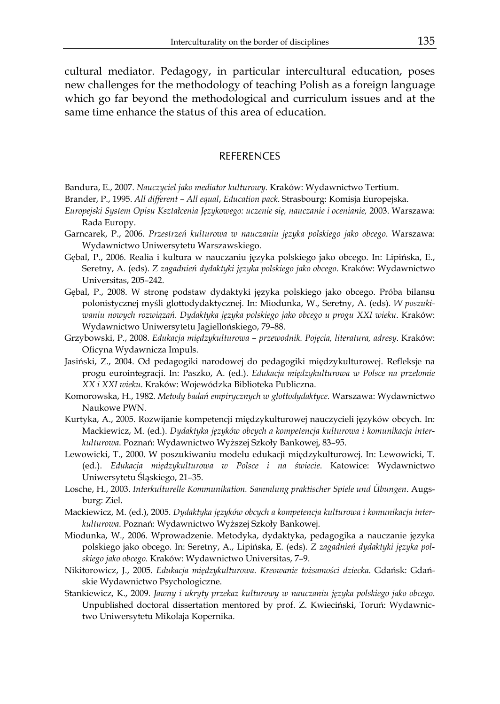cultural mediator. Pedagogy, in particular intercultural education, poses new challenges for the methodology of teaching Polish as a foreign language which go far beyond the methodological and curriculum issues and at the same time enhance the status of this area of education.

## **REFERENCES**

Bandura, E., 2007. *Nauczyciel jako mediator kulturowy*. Kraków: Wydawnictwo Tertium.

- Brander, P., 1995. *All different All equal*, *Education pack*. Strasbourg: Komisja Europejska.
- *Europejski System Opisu Kształcenia Językowego: uczenie się, nauczanie i ocenianie,* 2003. Warszawa: Rada Europy.
- Garncarek, P., 2006. *Przestrzeń kulturowa w nauczaniu języka polskiego jako obcego*. Warszawa: Wydawnictwo Uniwersytetu Warszawskiego.
- Gębal, P., 2006. Realia i kultura w nauczaniu języka polskiego jako obcego. In: Lipińska, E., Seretny, A. (eds). *Z zagadnień dydaktyki języka polskiego jako obcego*. Kraków: Wydawnictwo Universitas, 205–242.
- Gębal, P., 2008. W stronę podstaw dydaktyki języka polskiego jako obcego. Próba bilansu polonistycznej myśli glottodydaktycznej. In: Miodunka, W., Seretny, A. (eds). *W poszukiwaniu nowych rozwiązań. Dydaktyka języka polskiego jako obcego u progu XXI wieku*. Kraków: Wydawnictwo Uniwersytetu Jagiellońskiego, 79–88.
- Grzybowski, P., 2008. *Edukacja międzykulturowa przewodnik. Pojęcia, literatura, adresy*. Kraków: Oficyna Wydawnicza Impuls.
- Jasiński, Z., 2004. Od pedagogiki narodowej do pedagogiki międzykulturowej. Refleksje na progu eurointegracji. In: Paszko, A. (ed.). *Edukacja międzykulturowa w Polsce na przełomie XX i XXI wieku.* Kraków: Wojewódzka Biblioteka Publiczna.
- Komorowska, H., 1982. *Metody badań empirycznych w glottodydaktyce.* Warszawa: Wydawnictwo Naukowe PWN.
- Kurtyka, A., 2005. Rozwijanie kompetencji międzykulturowej nauczycieli języków obcych. In: Mackiewicz, M. (ed.). *Dydaktyka języków obcych a kompetencja kulturowa i komunikacja interkulturowa*. Poznań: Wydawnictwo Wyższej Szkoły Bankowej, 83–95.
- Lewowicki, T., 2000. W poszukiwaniu modelu edukacji międzykulturowej. In: Lewowicki, T. (ed.). *Edukacja międzykulturowa w Polsce i na świecie*. Katowice: Wydawnictwo Uniwersytetu Śląskiego, 21–35.
- Losche, H., 2003. *Interkulturelle Kommunikation. Sammlung praktischer Spiele und Übungen*. Augsburg: Ziel.
- Mackiewicz, M. (ed.), 2005. *Dydaktyka języków obcych a kompetencja kulturowa i komunikacja interkulturowa*. Poznań: Wydawnictwo Wyższej Szkoły Bankowej.
- Miodunka, W., 2006. Wprowadzenie. Metodyka, dydaktyka, pedagogika a nauczanie języka polskiego jako obcego. In: Seretny, A., Lipińska, E. (eds). *Z zagadnień dydaktyki języka polskiego jako obcego*. Kraków: Wydawnictwo Universitas, 7–9.
- Nikitorowicz, J., 2005. *Edukacja międzykulturowa. Kreowanie tożsamości dziecka*. Gdańsk: Gdańskie Wydawnictwo Psychologiczne.
- Stankiewicz, K., 2009. *Jawny i ukryty przekaz kulturowy w nauczaniu języka polskiego jako obcego*. Unpublished doctoral dissertation mentored by prof. Z. Kwieciński, Toruń: Wydawnictwo Uniwersytetu Mikołaja Kopernika.